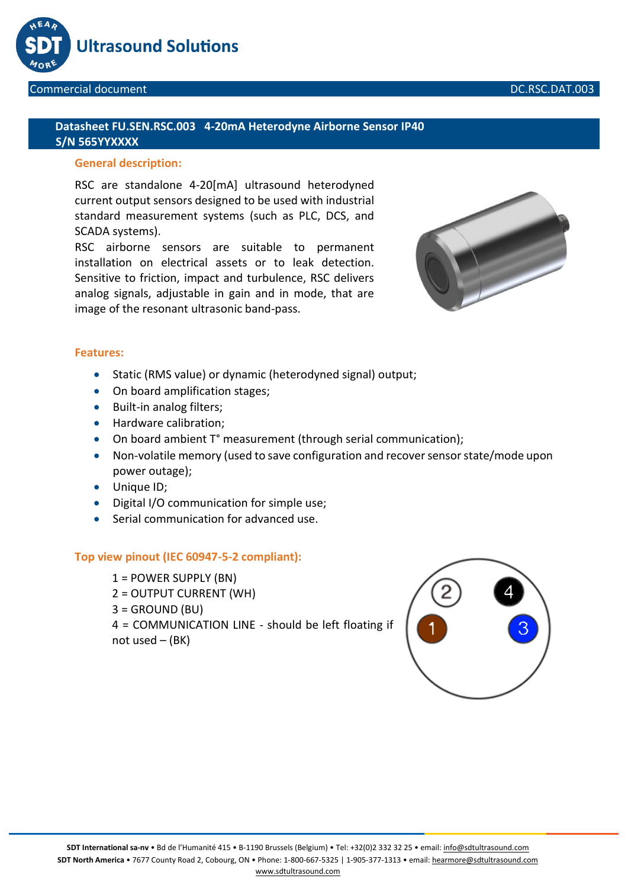

## **Datasheet FU.SEN.RSC.003 4-20mA Heterodyne Airborne Sensor IP40 S/N 565YYXXXX**

# **General description:**

RSC are standalone 4-20[mA] ultrasound heterodyned current output sensors designed to be used with industrial standard measurement systems (such as PLC, DCS, and SCADA systems).

RSC airborne sensors are suitable to permanent installation on electrical assets or to leak detection. Sensitive to friction, impact and turbulence, RSC delivers analog signals, adjustable in gain and in mode, that are image of the resonant ultrasonic band-pass.



#### **Features:**

- Static (RMS value) or dynamic (heterodyned signal) output;
- On board amplification stages;
- Built-in analog filters;
- Hardware calibration:
- On board ambient T° measurement (through serial communication);
- Non-volatile memory (used to save configuration and recover sensor state/mode upon power outage);
- Unique ID;
- Digital I/O communication for simple use;
- Serial communication for advanced use.

#### **Top view pinout (IEC 60947-5-2 compliant):**

1 = POWER SUPPLY (BN) 2 = OUTPUT CURRENT (WH)  $3 =$  GROUND (BU) 4 = COMMUNICATION LINE - should be left floating if not used  $-$  (BK)

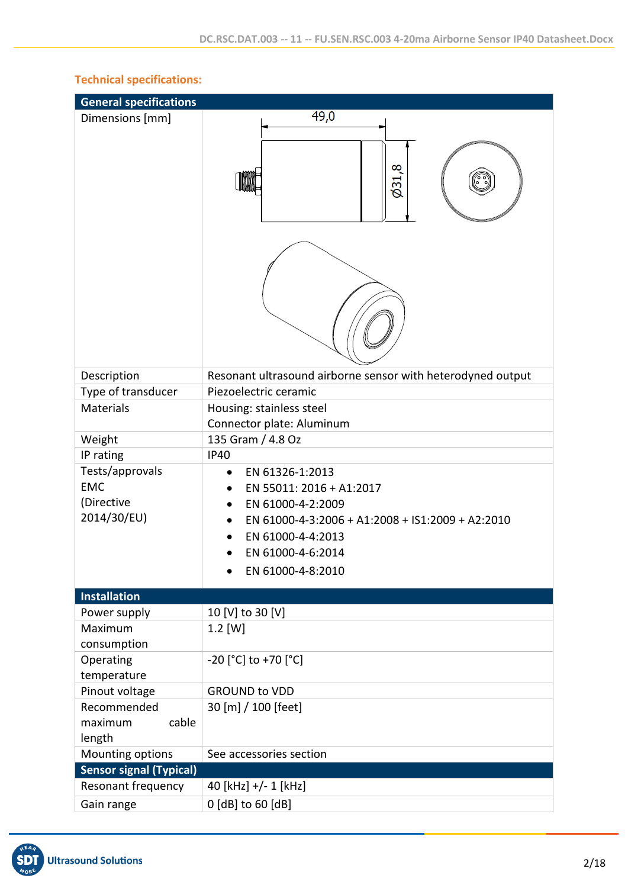| <b>General specifications</b>                              |                                                                                                                                                                                                  |
|------------------------------------------------------------|--------------------------------------------------------------------------------------------------------------------------------------------------------------------------------------------------|
| Dimensions [mm]                                            | 49,0                                                                                                                                                                                             |
|                                                            | 6,168                                                                                                                                                                                            |
|                                                            |                                                                                                                                                                                                  |
| Description                                                | Resonant ultrasound airborne sensor with heterodyned output                                                                                                                                      |
| Type of transducer                                         | Piezoelectric ceramic                                                                                                                                                                            |
| <b>Materials</b>                                           | Housing: stainless steel<br>Connector plate: Aluminum                                                                                                                                            |
| Weight                                                     | 135 Gram / 4.8 Oz                                                                                                                                                                                |
| IP rating                                                  | <b>IP40</b>                                                                                                                                                                                      |
| Tests/approvals<br><b>EMC</b><br>(Directive<br>2014/30/EU) | EN 61326-1:2013<br>$\bullet$<br>EN 55011: 2016 + A1:2017<br>EN 61000-4-2:2009<br>EN 61000-4-3:2006 + A1:2008 + IS1:2009 + A2:2010<br>EN 61000-4-4:2013<br>EN 61000-4-6:2014<br>EN 61000-4-8:2010 |
| <b>Installation</b>                                        |                                                                                                                                                                                                  |
| Power supply                                               | 10 [V] to 30 [V]                                                                                                                                                                                 |
| Maximum                                                    | $1.2$ [W]                                                                                                                                                                                        |
| consumption<br>Operating                                   | $-20$ [°C] to +70 [°C]                                                                                                                                                                           |
| temperature                                                |                                                                                                                                                                                                  |
| Pinout voltage                                             | <b>GROUND to VDD</b>                                                                                                                                                                             |
| Recommended<br>maximum<br>cable<br>length                  | 30 [m] / 100 [feet]                                                                                                                                                                              |
| Mounting options                                           | See accessories section                                                                                                                                                                          |
| <b>Sensor signal (Typical)</b>                             |                                                                                                                                                                                                  |
| Resonant frequency                                         | 40 [kHz] +/- 1 [kHz]                                                                                                                                                                             |
| Gain range                                                 | 0 [dB] to 60 [dB]                                                                                                                                                                                |

# **Technical specifications:**

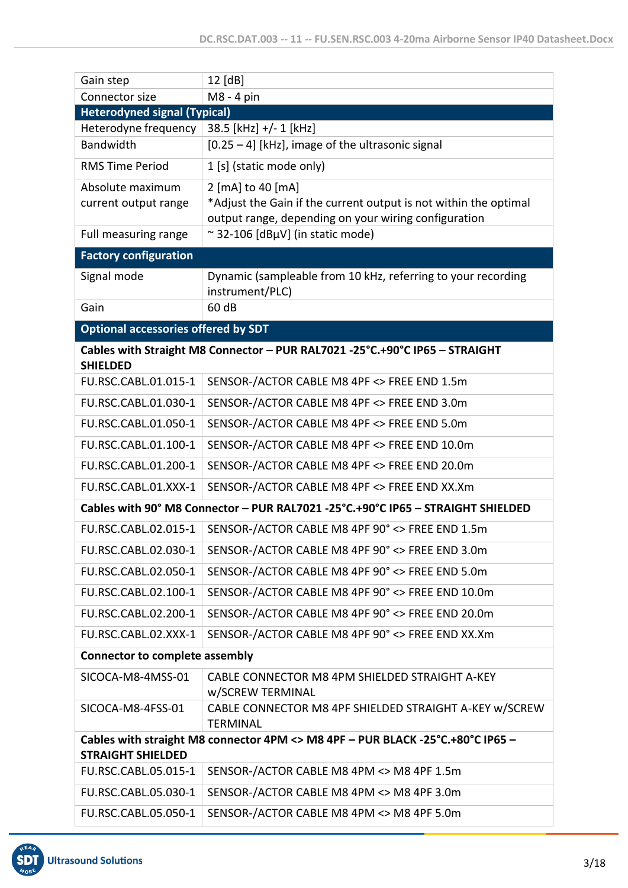| Gain step                                  | 12 [dB]                                                                                                                  |
|--------------------------------------------|--------------------------------------------------------------------------------------------------------------------------|
| Connector size                             | M8 - 4 pin                                                                                                               |
| <b>Heterodyned signal (Typical)</b>        |                                                                                                                          |
| Heterodyne frequency                       | 38.5 [kHz] +/- 1 [kHz]                                                                                                   |
| <b>Bandwidth</b>                           | $[0.25 - 4]$ [kHz], image of the ultrasonic signal                                                                       |
| <b>RMS Time Period</b>                     | 1 [s] (static mode only)                                                                                                 |
| Absolute maximum                           | 2 [mA] to 40 [mA]                                                                                                        |
| current output range                       | *Adjust the Gain if the current output is not within the optimal<br>output range, depending on your wiring configuration |
| Full measuring range                       | ~32-106 [dBµV] (in static mode)                                                                                          |
| <b>Factory configuration</b>               |                                                                                                                          |
| Signal mode                                | Dynamic (sampleable from 10 kHz, referring to your recording                                                             |
|                                            | instrument/PLC)                                                                                                          |
| Gain                                       | 60 dB                                                                                                                    |
| <b>Optional accessories offered by SDT</b> |                                                                                                                          |
|                                            | Cables with Straight M8 Connector - PUR RAL7021 -25°C.+90°C IP65 - STRAIGHT                                              |
| <b>SHIELDED</b>                            |                                                                                                                          |
| FU.RSC.CABL.01.015-1                       | SENSOR-/ACTOR CABLE M8 4PF <> FREE END 1.5m                                                                              |
| FU.RSC.CABL.01.030-1                       | SENSOR-/ACTOR CABLE M8 4PF <> FREE END 3.0m                                                                              |
| FU.RSC.CABL.01.050-1                       | SENSOR-/ACTOR CABLE M8 4PF <> FREE END 5.0m                                                                              |
| FU.RSC.CABL.01.100-1                       | SENSOR-/ACTOR CABLE M8 4PF <> FREE END 10.0m                                                                             |
| FU.RSC.CABL.01.200-1                       | SENSOR-/ACTOR CABLE M8 4PF <> FREE END 20.0m                                                                             |
| FU.RSC.CABL.01.XXX-1                       | SENSOR-/ACTOR CABLE M8 4PF <> FREE END XX.Xm                                                                             |
|                                            | Cables with 90° M8 Connector - PUR RAL7021 -25°C.+90°C IP65 - STRAIGHT SHIELDED                                          |
| FU.RSC.CABL.02.015-1                       | SENSOR-/ACTOR CABLE M8 4PF 90° <> FREE END 1.5m                                                                          |
| FU.RSC.CABL.02.030-1                       | SENSOR-/ACTOR CABLE M8 4PF 90° <> FREE END 3.0m                                                                          |
| FU.RSC.CABL.02.050-1                       | SENSOR-/ACTOR CABLE M8 4PF 90° <> FREE END 5.0m                                                                          |
| FU.RSC.CABL.02.100-1                       | SENSOR-/ACTOR CABLE M8 4PF 90° <> FREE END 10.0m                                                                         |
| FU.RSC.CABL.02.200-1                       | SENSOR-/ACTOR CABLE M8 4PF 90° <> FREE END 20.0m                                                                         |
| FU.RSC.CABL.02.XXX-1                       | SENSOR-/ACTOR CABLE M8 4PF 90° <> FREE END XX.Xm                                                                         |
| <b>Connector to complete assembly</b>      |                                                                                                                          |
| SICOCA-M8-4MSS-01                          | CABLE CONNECTOR M8 4PM SHIELDED STRAIGHT A-KEY                                                                           |
|                                            | w/SCREW TERMINAL                                                                                                         |
| SICOCA-M8-4FSS-01                          | CABLE CONNECTOR M8 4PF SHIELDED STRAIGHT A-KEY w/SCREW<br><b>TERMINAL</b>                                                |
|                                            | Cables with straight M8 connector 4PM <> M8 4PF - PUR BLACK -25°C.+80°C IP65 -                                           |
| <b>STRAIGHT SHIELDED</b>                   |                                                                                                                          |
| FU.RSC.CABL.05.015-1                       | SENSOR-/ACTOR CABLE M8 4PM <> M8 4PF 1.5m                                                                                |
| FU.RSC.CABL.05.030-1                       | SENSOR-/ACTOR CABLE M8 4PM <> M8 4PF 3.0m                                                                                |
| FU.RSC.CABL.05.050-1                       | SENSOR-/ACTOR CABLE M8 4PM <> M8 4PF 5.0m                                                                                |

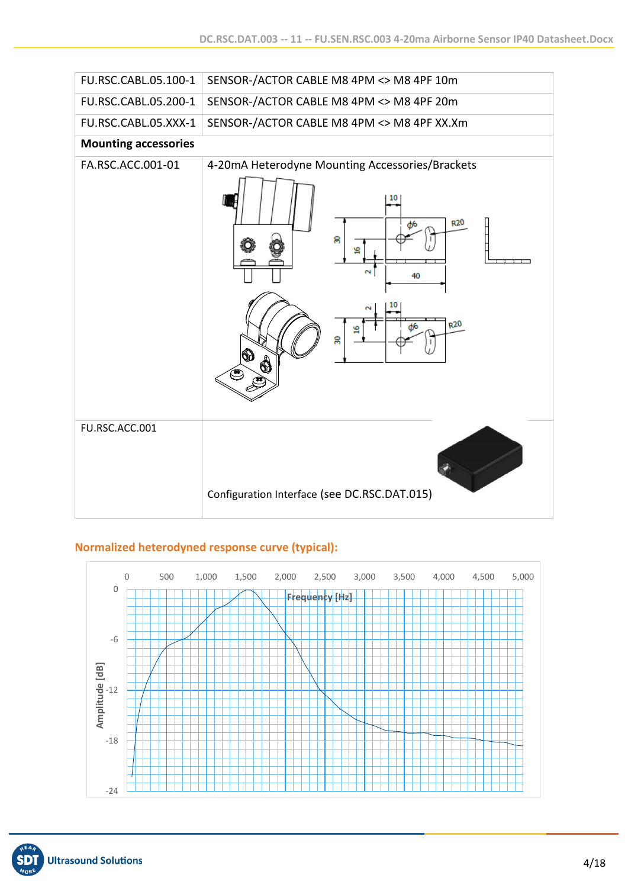

## **Normalized heterodyned response curve (typical):**

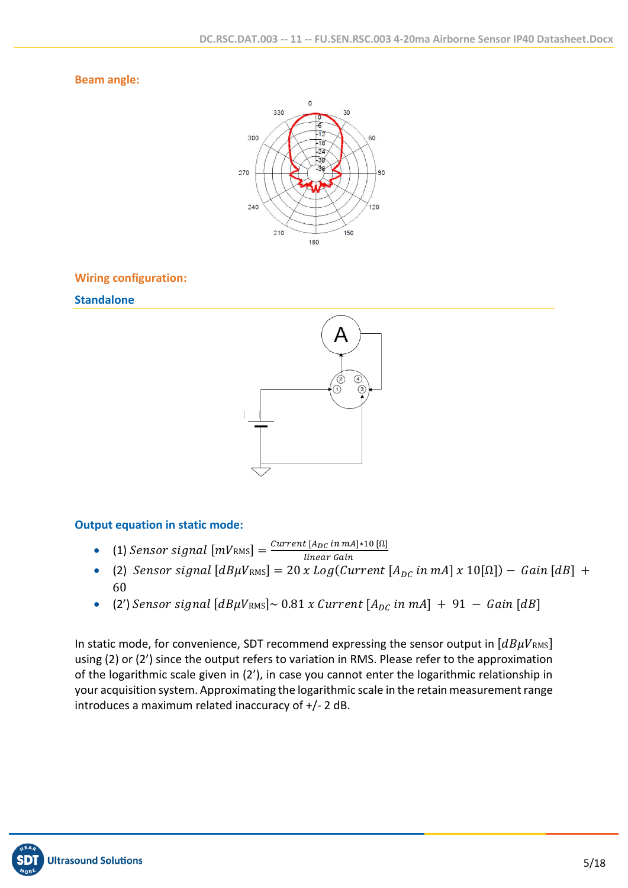#### **Beam angle:**



#### **Wiring configuration:**

#### **Standalone**



## **Output equation in static mode:**

- (1) Sensor signal  $[mV_{RMS}] = \frac{Current [A_{DC} in mA]*10 [Ω]}{linear Gsin}$
- linear Gain • (2)  $Sensor$  signal  $[dB\mu V_{RMS}] = 20$  x  $Log(Current | A_{DC} in mA | x 10[\Omega]) - Gain [dB] +$ 60
- (2')  $Sensor$  signal  $[dB\mu V_{RMS}] \sim 0.81$  x Current  $[A_{DC}$  in mA] + 91 Gain  $[dB]$

In static mode, for convenience, SDT recommend expressing the sensor output in  $[dB\mu V_{RMS}]$ using (2) or (2') since the output refers to variation in RMS. Please refer to the approximation of the logarithmic scale given in (2'), in case you cannot enter the logarithmic relationship in your acquisition system. Approximating the logarithmic scale in the retain measurement range introduces a maximum related inaccuracy of +/- 2 dB.

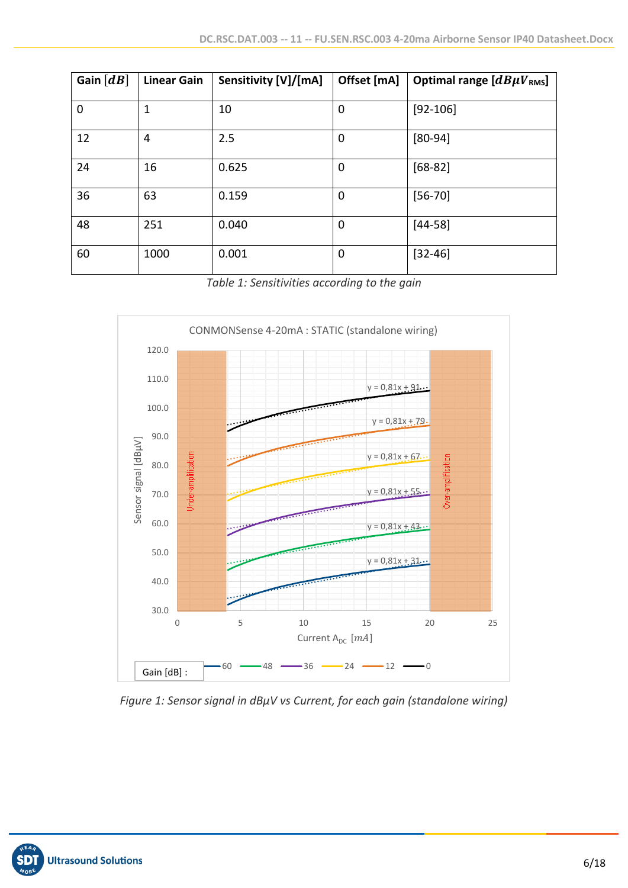| Gain $\lfloor dB \rfloor$ | <b>Linear Gain</b> | Sensitivity [V]/[mA] | Offset [mA] | Optimal range $[dB\mu V_{RMS}]$ |
|---------------------------|--------------------|----------------------|-------------|---------------------------------|
| $\mathbf 0$               | 1                  | 10                   | 0           | $[92 - 106]$                    |
| 12                        | 4                  | 2.5                  | 0           | $[80-94]$                       |
| 24                        | 16                 | 0.625                | 0           | $[68-82]$                       |
| 36                        | 63                 | 0.159                | $\mathbf 0$ | $[56 - 70]$                     |
| 48                        | 251                | 0.040                | 0           | $[44-58]$                       |
| 60                        | 1000               | 0.001                | 0           | $[32 - 46]$                     |

*Table 1: Sensitivities according to the gain*



*Figure 1: Sensor signal in dBµV vs Current, for each gain (standalone wiring)*

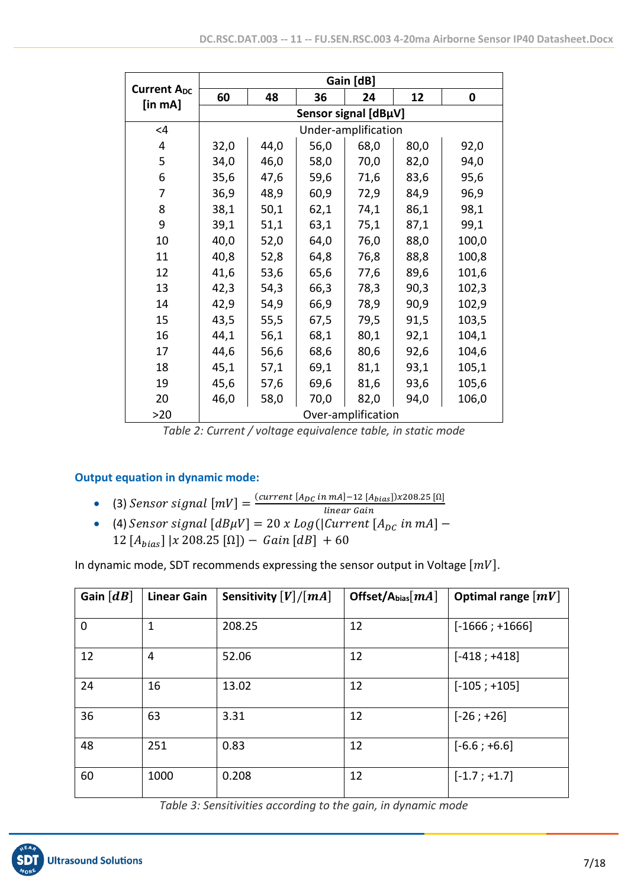|                               |                      |      |      | Gain [dB]           |      |       |  |  |
|-------------------------------|----------------------|------|------|---------------------|------|-------|--|--|
| <b>Current Apc</b><br>[in mA] | 60                   | 48   | 36   | 24                  | 12   | 0     |  |  |
|                               | Sensor signal [dBµV] |      |      |                     |      |       |  |  |
| $\leq 4$                      |                      |      |      | Under-amplification |      |       |  |  |
| 4                             | 32,0                 | 44,0 | 56,0 | 68,0                | 80,0 | 92,0  |  |  |
| 5                             | 34,0                 | 46,0 | 58,0 | 70,0                | 82,0 | 94,0  |  |  |
| 6                             | 35,6                 | 47,6 | 59,6 | 71,6                | 83,6 | 95,6  |  |  |
| 7                             | 36,9                 | 48,9 | 60,9 | 72,9                | 84,9 | 96,9  |  |  |
| 8                             | 38,1                 | 50,1 | 62,1 | 74,1                | 86,1 | 98,1  |  |  |
| 9                             | 39,1                 | 51,1 | 63,1 | 75,1                | 87,1 | 99,1  |  |  |
| 10                            | 40,0                 | 52,0 | 64,0 | 76,0                | 88,0 | 100,0 |  |  |
| 11                            | 40,8                 | 52,8 | 64,8 | 76,8                | 88,8 | 100,8 |  |  |
| 12                            | 41,6                 | 53,6 | 65,6 | 77,6                | 89,6 | 101,6 |  |  |
| 13                            | 42,3                 | 54,3 | 66,3 | 78,3                | 90,3 | 102,3 |  |  |
| 14                            | 42,9                 | 54,9 | 66,9 | 78,9                | 90,9 | 102,9 |  |  |
| 15                            | 43,5                 | 55,5 | 67,5 | 79,5                | 91,5 | 103,5 |  |  |
| 16                            | 44,1                 | 56,1 | 68,1 | 80,1                | 92,1 | 104,1 |  |  |
| 17                            | 44,6                 | 56,6 | 68,6 | 80,6                | 92,6 | 104,6 |  |  |
| 18                            | 45,1                 | 57,1 | 69,1 | 81,1                | 93,1 | 105,1 |  |  |
| 19                            | 45,6                 | 57,6 | 69,6 | 81,6                | 93,6 | 105,6 |  |  |
| 20                            | 46,0                 | 58,0 | 70,0 | 82,0                | 94,0 | 106,0 |  |  |
| >20                           |                      |      |      | Over-amplification  |      |       |  |  |

*Table 2: Current / voltage equivalence table, in static mode*

## **Output equation in dynamic mode:**

- (3)  $Sensor$  signal  $[mV] = \frac{(current [A_{DC} in mA] 12 [A_{bias}])x208.25 [Ω]}{linear Gain}$
- linear Gain • (4)  $Sensor$  signal  $[dB\mu V] = 20$  x  $Log(|Current|A_{DC} in mA]$  – 12  $[A_{bias}]$  | x 208.25 [Ω]) – *Gain* [dB] + 60

In dynamic mode, SDT recommends expressing the sensor output in Voltage  $[mV]$ .

| Gain $\lfloor dB \rfloor$ | <b>Linear Gain</b> | Sensitivity $[V]/[mA]$ | Offset/Abias $[mA]$ | Optimal range $[mV]$ |
|---------------------------|--------------------|------------------------|---------------------|----------------------|
| $\mathbf 0$               | 1                  | 208.25                 | 12                  | $[-1666; +1666]$     |
| 12                        | 4                  | 52.06                  | 12                  | $[-418; +418]$       |
| 24                        | 16                 | 13.02                  | 12                  | $[-105; +105]$       |
| 36                        | 63                 | 3.31                   | 12                  | $[-26; +26]$         |
| 48                        | 251                | 0.83                   | 12                  | $[-6.6; +6.6]$       |
| 60                        | 1000               | 0.208                  | 12                  | $[-1.7; +1.7]$       |

*Table 3: Sensitivities according to the gain, in dynamic mode*

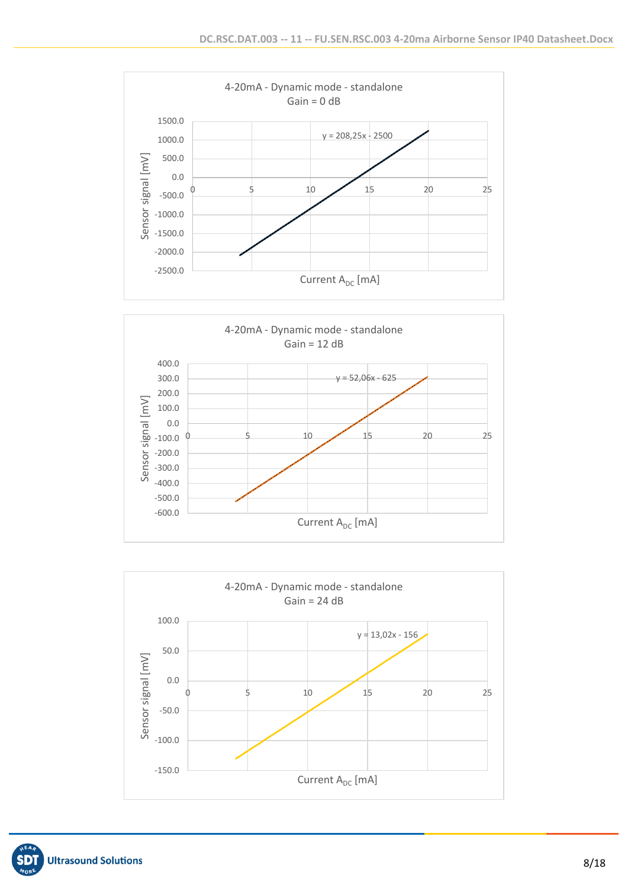





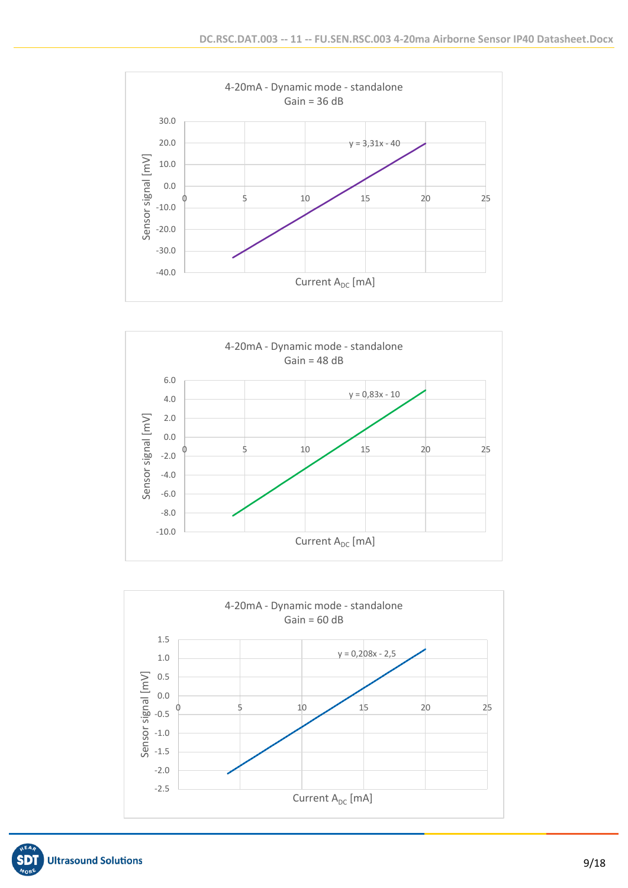





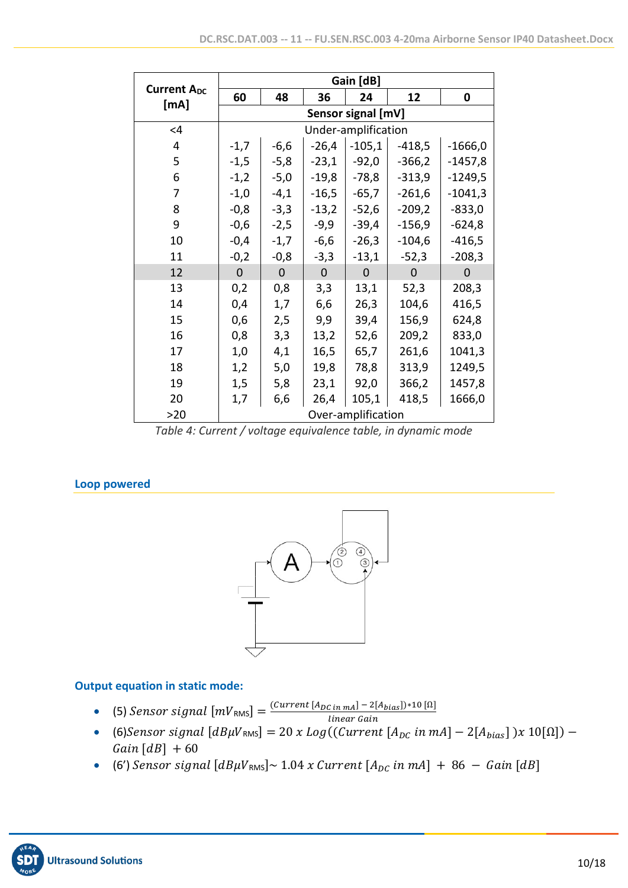|                            |              |                    |           | Gain [dB]           |                |                |  |  |
|----------------------------|--------------|--------------------|-----------|---------------------|----------------|----------------|--|--|
| <b>Current Apc</b><br>[mA] | 60           | 48                 | 36        | 24                  | 12             | 0              |  |  |
|                            |              | Sensor signal [mV] |           |                     |                |                |  |  |
| $\leq$ 4                   |              |                    |           | Under-amplification |                |                |  |  |
| 4                          | $-1,7$       | $-6,6$             | $-26,4$   | $-105,1$            | $-418,5$       | $-1666,0$      |  |  |
| 5                          | $-1,5$       | $-5,8$             | $-23,1$   | $-92,0$             | $-366,2$       | $-1457,8$      |  |  |
| 6                          | $-1,2$       | $-5,0$             | $-19,8$   | $-78,8$             | $-313,9$       | $-1249,5$      |  |  |
| 7                          | $-1,0$       | $-4,1$             | $-16,5$   | $-65,7$             | $-261,6$       | $-1041,3$      |  |  |
| 8                          | $-0,8$       | $-3,3$             | $-13,2$   | $-52,6$             | $-209,2$       | $-833,0$       |  |  |
| 9                          | $-0,6$       | $-2,5$             | $-9,9$    | $-39,4$             | $-156,9$       | $-624,8$       |  |  |
| 10                         | $-0,4$       | $-1,7$             | $-6,6$    | $-26,3$             | $-104,6$       | $-416,5$       |  |  |
| 11                         | $-0,2$       | $-0,8$             | $-3,3$    | $-13,1$             | $-52,3$        | $-208,3$       |  |  |
| 12                         | $\mathbf{0}$ | $\overline{0}$     | $\pmb{0}$ | $\mathbf 0$         | $\overline{0}$ | $\overline{0}$ |  |  |
| 13                         | 0,2          | 0,8                | 3,3       | 13,1                | 52,3           | 208,3          |  |  |
| 14                         | 0,4          | 1,7                | 6,6       | 26,3                | 104,6          | 416,5          |  |  |
| 15                         | 0,6          | 2,5                | 9,9       | 39,4                | 156,9          | 624,8          |  |  |
| 16                         | 0,8          | 3,3                | 13,2      | 52,6                | 209,2          | 833,0          |  |  |
| 17                         | 1,0          | 4,1                | 16,5      | 65,7                | 261,6          | 1041,3         |  |  |
| 18                         | 1,2          | 5,0                | 19,8      | 78,8                | 313,9          | 1249,5         |  |  |
| 19                         | 1,5          | 5,8                | 23,1      | 92,0                | 366,2          | 1457,8         |  |  |
| 20                         | 1,7          | 6,6                | 26,4      | 105,1               | 418,5          | 1666,0         |  |  |
| >20                        |              |                    |           | Over-amplification  |                |                |  |  |

*Table 4: Current / voltage equivalence table, in dynamic mode*

# **Loop powered**



# **Output equation in static mode:**

- (5)  $Sensor$  signal  $[mV_{RMS}] = \frac{(Current [A_{DC} in mA] 2[A_{bias}]) * 10 [0]}{linear G}$
- linear Gain • (6) Sensor signal  $[dB\mu V_{RMS}] = 20$  x  $Log((Current [A<sub>DC</sub> in mA] - 2[A<sub>bias</sub>]) x 10[\Omega])$  –  $Gain [dB] + 60$
- (6')  $Sensor$  signal  $[dB\mu V_{RMS}] \sim 1.04$  x Current  $[A_{DC}$  in mA] + 86 Gain  $[dB]$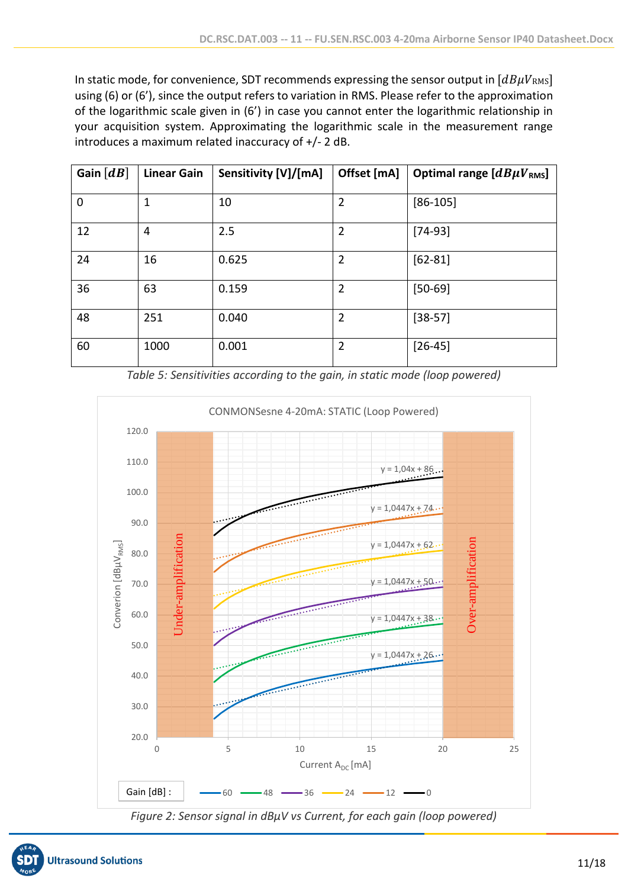In static mode, for convenience, SDT recommends expressing the sensor output in  $[dB\mu V_{\rm RMS}]$ using (6) or (6'), since the output refers to variation in RMS. Please refer to the approximation of the logarithmic scale given in (6') in case you cannot enter the logarithmic relationship in your acquisition system. Approximating the logarithmic scale in the measurement range introduces a maximum related inaccuracy of +/- 2 dB.

| Gain $[dB]$ | <b>Linear Gain</b> | Sensitivity [V]/[mA] | Offset [mA]    | Optimal range $[dB\mu V_{RMS}]$ |
|-------------|--------------------|----------------------|----------------|---------------------------------|
| $\mathbf 0$ | 1                  | 10                   | $\overline{2}$ | $[86-105]$                      |
| 12          | 4                  | 2.5                  | $\overline{2}$ | $[74-93]$                       |
| 24          | 16                 | 0.625                | $\overline{2}$ | $[62-81]$                       |
| 36          | 63                 | 0.159                | $\overline{2}$ | $[50 - 69]$                     |
| 48          | 251                | 0.040                | $\overline{2}$ | $[38-57]$                       |
| 60          | 1000               | 0.001                | $\overline{2}$ | $[26-45]$                       |





*Figure 2: Sensor signal in dBµV vs Current, for each gain (loop powered)*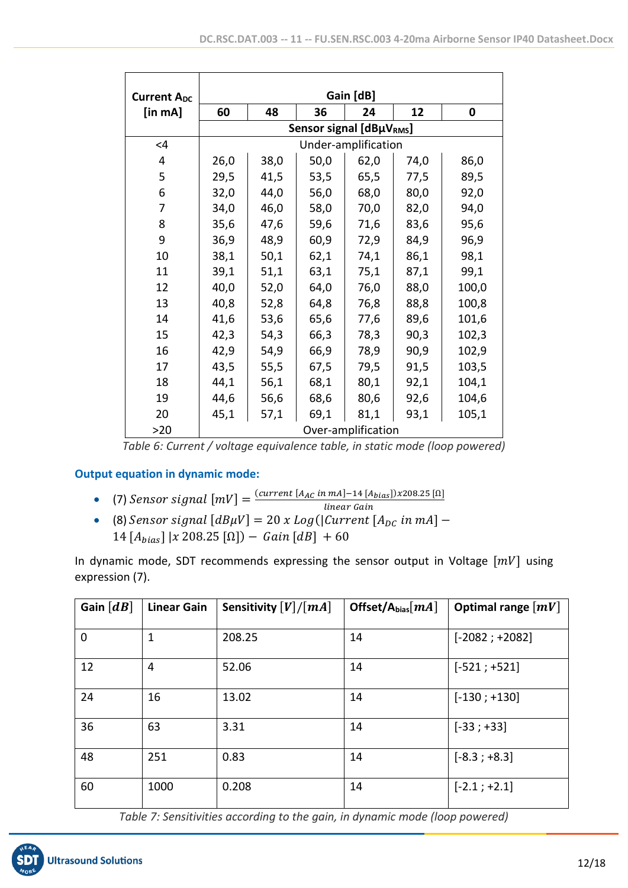| <b>Current Apc</b> | Gain [dB] |      |                         |                     |      |       |
|--------------------|-----------|------|-------------------------|---------------------|------|-------|
| [in mA]            | 60        | 48   | 36                      | 24                  | 12   | 0     |
|                    |           |      | Sensor signal [dBµVRMs] |                     |      |       |
| $\leq 4$           |           |      |                         | Under-amplification |      |       |
| 4                  | 26,0      | 38,0 | 50,0                    | 62,0                | 74,0 | 86,0  |
| 5                  | 29,5      | 41,5 | 53,5                    | 65,5                | 77,5 | 89,5  |
| 6                  | 32,0      | 44,0 | 56,0                    | 68,0                | 80,0 | 92,0  |
| 7                  | 34,0      | 46,0 | 58,0                    | 70,0                | 82,0 | 94,0  |
| 8                  | 35,6      | 47,6 | 59,6                    | 71,6                | 83,6 | 95,6  |
| 9                  | 36,9      | 48,9 | 60,9                    | 72,9                | 84,9 | 96,9  |
| 10                 | 38,1      | 50,1 | 62,1                    | 74,1                | 86,1 | 98,1  |
| 11                 | 39,1      | 51,1 | 63,1                    | 75,1                | 87,1 | 99,1  |
| 12                 | 40,0      | 52,0 | 64,0                    | 76,0                | 88,0 | 100,0 |
| 13                 | 40,8      | 52,8 | 64,8                    | 76,8                | 88,8 | 100,8 |
| 14                 | 41,6      | 53,6 | 65,6                    | 77,6                | 89,6 | 101,6 |
| 15                 | 42,3      | 54,3 | 66,3                    | 78,3                | 90,3 | 102,3 |
| 16                 | 42,9      | 54,9 | 66,9                    | 78,9                | 90,9 | 102,9 |
| 17                 | 43,5      | 55,5 | 67,5                    | 79,5                | 91,5 | 103,5 |
| 18                 | 44,1      | 56,1 | 68,1                    | 80,1                | 92,1 | 104,1 |
| 19                 | 44,6      | 56,6 | 68,6                    | 80,6                | 92,6 | 104,6 |
| 20                 | 45,1      | 57,1 | 69,1                    | 81,1                | 93,1 | 105,1 |
| >20                |           |      |                         | Over-amplification  |      |       |

*Table 6: Current / voltage equivalence table, in static mode (loop powered)*

## **Output equation in dynamic mode:**

- (7)  $Sensor$  signal  $[mV] = \frac{(current [A_{AC} in mA] 14 [A_{bias}]) \times 208.25 [Ω]}{linear Gain}$
- linear Gain • (8)  $Sensor$  signal  $[dB\mu V] = 20$  x  $Log(|Current|A_{DC} in mA]$  – 14  $[A_{bias}]$  | x 208.25  $[\Omega]$ ) – *Gain*  $[dB]$  + 60

In dynamic mode, SDT recommends expressing the sensor output in Voltage  $[mV]$  using expression (7).

| Gain $\lfloor dB \rfloor$ | <b>Linear Gain</b> | Sensitivity $[V]/[mA]$ | Offset/A <sub>bias</sub> $[mA]$ | Optimal range $\lfloor mV \rfloor$ |
|---------------------------|--------------------|------------------------|---------------------------------|------------------------------------|
| $\mathbf 0$               | 1                  | 208.25                 | 14                              | $[-2082; +2082]$                   |
| 12                        | 4                  | 52.06                  | 14                              | $[-521; +521]$                     |
| 24                        | 16                 | 13.02                  | 14                              | $[-130; +130]$                     |
| 36                        | 63                 | 3.31                   | 14                              | $[-33; +33]$                       |
| 48                        | 251                | 0.83                   | 14                              | $[-8.3; +8.3]$                     |
| 60                        | 1000               | 0.208                  | 14                              | $[-2.1; +2.1]$                     |

*Table 7: Sensitivities according to the gain, in dynamic mode (loop powered)*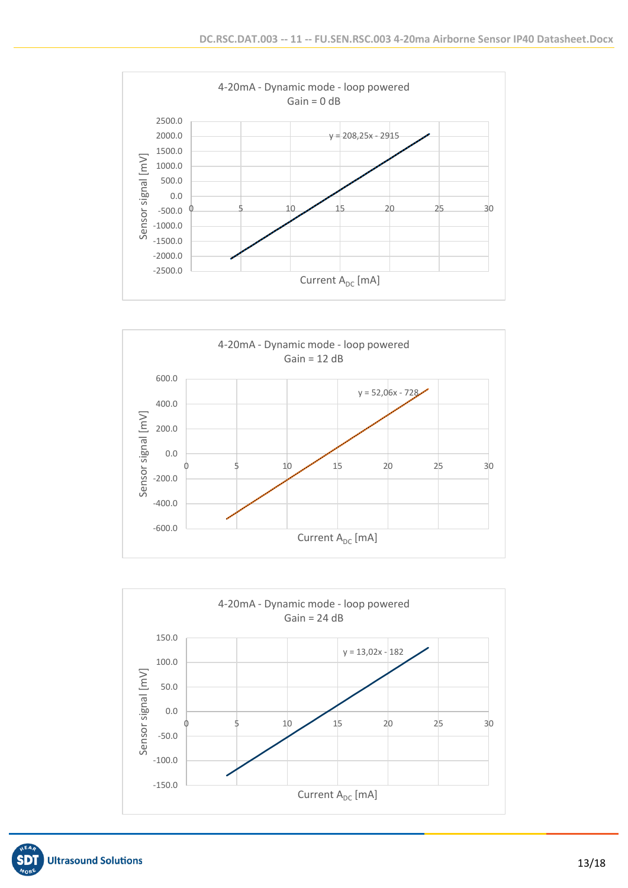





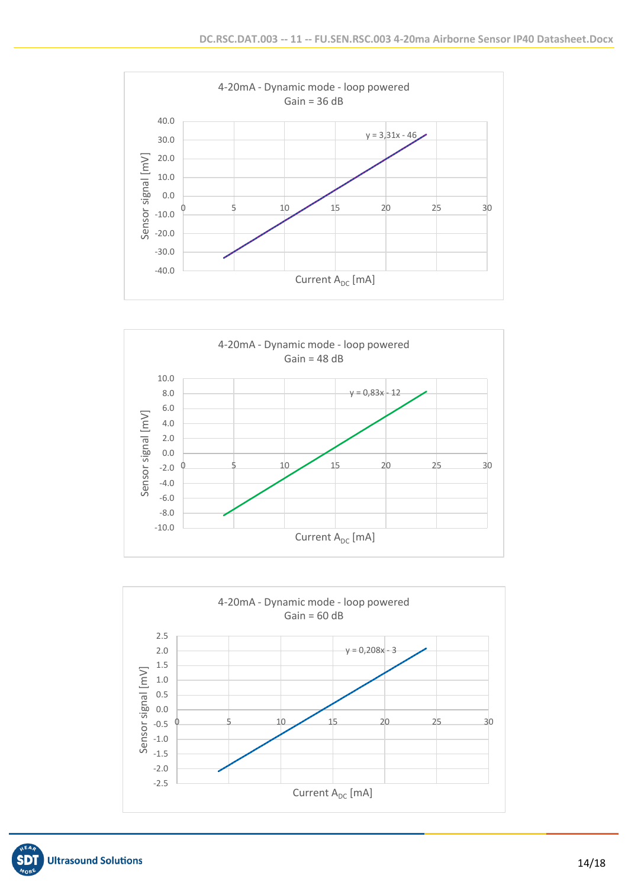





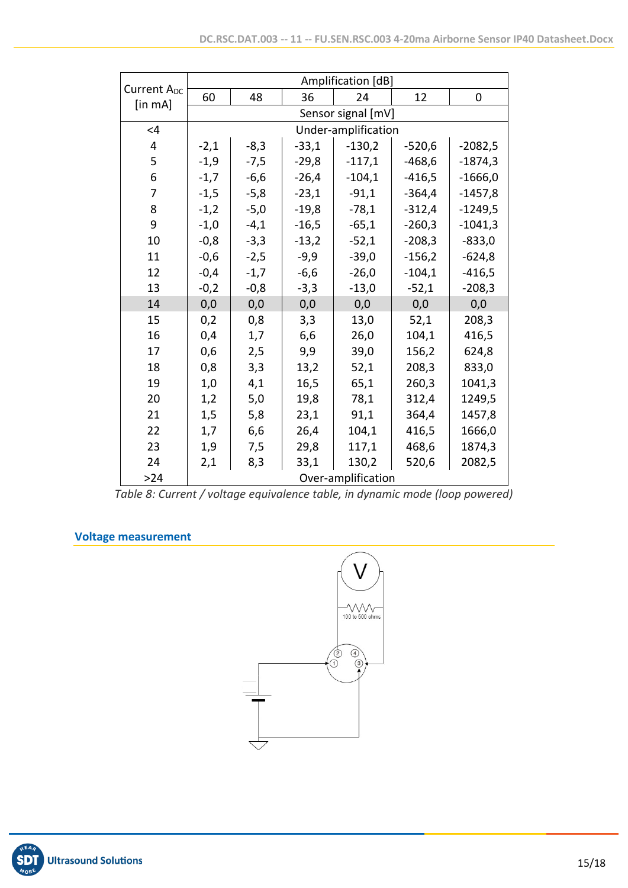|                                          | Amplification [dB] |        |         |                     |          |           |  |
|------------------------------------------|--------------------|--------|---------|---------------------|----------|-----------|--|
| Current A <sub>DC</sub><br>$[$ in mA $]$ | 60                 | 48     | 36      | 24                  | 12       | 0         |  |
|                                          |                    |        |         | Sensor signal [mV]  |          |           |  |
| <4                                       |                    |        |         | Under-amplification |          |           |  |
| 4                                        | $-2,1$             | $-8,3$ | $-33,1$ | $-130,2$            | $-520,6$ | $-2082,5$ |  |
| 5                                        | $-1,9$             | $-7,5$ | $-29,8$ | $-117,1$            | $-468,6$ | $-1874,3$ |  |
| 6                                        | $-1,7$             | $-6,6$ | $-26,4$ | $-104,1$            | $-416,5$ | $-1666,0$ |  |
| 7                                        | $-1,5$             | $-5,8$ | $-23,1$ | $-91,1$             | $-364,4$ | $-1457,8$ |  |
| 8                                        | $-1,2$             | $-5,0$ | $-19,8$ | $-78,1$             | $-312,4$ | $-1249,5$ |  |
| 9                                        | $-1,0$             | $-4,1$ | $-16,5$ | $-65,1$             | $-260,3$ | $-1041,3$ |  |
| 10                                       | $-0,8$             | $-3,3$ | $-13,2$ | $-52,1$             | $-208,3$ | $-833,0$  |  |
| 11                                       | $-0,6$             | $-2,5$ | $-9,9$  | $-39,0$             | $-156,2$ | $-624,8$  |  |
| 12                                       | $-0,4$             | $-1,7$ | $-6,6$  | $-26,0$             | $-104,1$ | $-416,5$  |  |
| 13                                       | $-0,2$             | $-0,8$ | $-3,3$  | $-13,0$             | $-52,1$  | $-208,3$  |  |
| 14                                       | 0,0                | 0,0    | 0,0     | 0,0                 | 0,0      | 0,0       |  |
| 15                                       | 0,2                | 0,8    | 3,3     | 13,0                | 52,1     | 208,3     |  |
| 16                                       | 0,4                | 1,7    | 6,6     | 26,0                | 104,1    | 416,5     |  |
| 17                                       | 0,6                | 2,5    | 9,9     | 39,0                | 156,2    | 624,8     |  |
| 18                                       | 0,8                | 3,3    | 13,2    | 52,1                | 208,3    | 833,0     |  |
| 19                                       | 1,0                | 4,1    | 16,5    | 65,1                | 260,3    | 1041,3    |  |
| 20                                       | 1,2                | 5,0    | 19,8    | 78,1                | 312,4    | 1249,5    |  |
| 21                                       | 1,5                | 5,8    | 23,1    | 91,1                | 364,4    | 1457,8    |  |
| 22                                       | 1,7                | 6,6    | 26,4    | 104,1               | 416,5    | 1666,0    |  |
| 23                                       | 1,9                | 7,5    | 29,8    | 117,1               | 468,6    | 1874,3    |  |
| 24                                       | 2,1                | 8,3    | 33,1    | 130,2               | 520,6    | 2082,5    |  |
| $>24$                                    |                    |        |         | Over-amplification  |          |           |  |

*Table 8: Current / voltage equivalence table, in dynamic mode (loop powered)*

## **Voltage measurement**



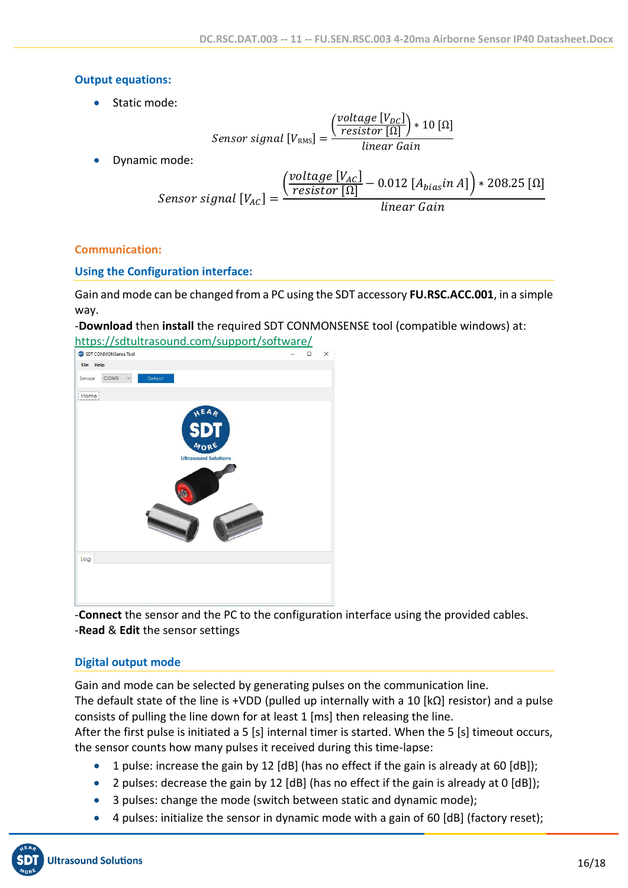## **Output equations:**

• Static mode:

$$
Sensor\ signal\ [V_{RMS}] = \frac{\left(\frac{voltage\ [V_{DC}]}{resistor\ [\Omega]\right)*10\ [\Omega]} }{linear\ Gain}
$$

• Dynamic mode:

$$
Sensor\ signal\ [V_{AC}] = \frac{\left(\frac{voltage\ [V_{AC}]}{resistor\ [\Omega]} - 0.012\ [A_{bias}in\ A]\right) * 208.25\ [\Omega]}{linear\ Gain}
$$

## **Communication:**

# **Using the Configuration interface:**

Gain and mode can be changed from a PC using the SDT accessory **FU.RSC.ACC.001**, in a simple way.

-**Download** then **install** the required SDT CONMONSENSE tool (compatible windows) at: <https://sdtultrasound.com/support/software/>

| SDT CONMONSense Tool                                             | $\Box$ | $\times$ |
|------------------------------------------------------------------|--------|----------|
| File Help                                                        |        |          |
| COM <sub>3</sub><br>Detect<br>$\check{~}$<br>Sensor              |        |          |
| Home                                                             |        |          |
| HEAR<br>MORE<br><b>Ultrasound Solutions</b>                      |        |          |
| Log                                                              |        |          |
|                                                                  |        |          |
| $\sim$ $\sim$ $\sim$<br>$\sim$ $\sim$ $\sim$<br>$\sim$ 1.<br>--- |        | . .      |

-**Connect** the sensor and the PC to the configuration interface using the provided cables. -**Read** & **Edit** the sensor settings

# **Digital output mode**

Gain and mode can be selected by generating pulses on the communication line. The default state of the line is +VDD (pulled up internally with a 10  $\kappa\Omega$  resistor) and a pulse consists of pulling the line down for at least 1 [ms] then releasing the line.

After the first pulse is initiated a 5 [s] internal timer is started. When the 5 [s] timeout occurs, the sensor counts how many pulses it received during this time-lapse:

- 1 pulse: increase the gain by 12 [dB] (has no effect if the gain is already at 60 [dB]);
- 2 pulses: decrease the gain by 12 [dB] (has no effect if the gain is already at 0 [dB]);
- 3 pulses: change the mode (switch between static and dynamic mode);
- 4 pulses: initialize the sensor in dynamic mode with a gain of 60 [dB] (factory reset);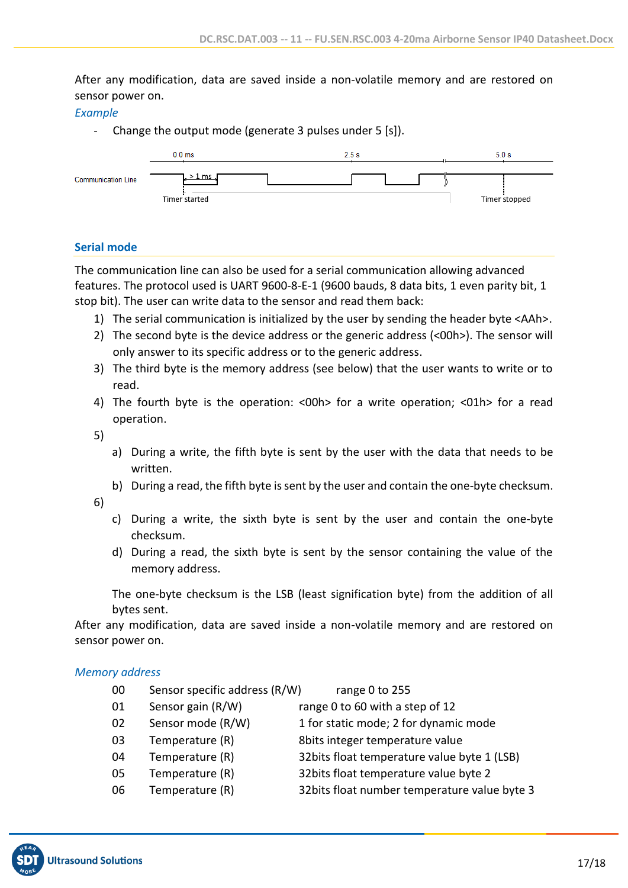After any modification, data are saved inside a non-volatile memory and are restored on sensor power on.

#### *Example*

- Change the output mode (generate 3 pulses under 5 [s]).



#### **Serial mode**

The communication line can also be used for a serial communication allowing advanced features. The protocol used is UART 9600-8-E-1 (9600 bauds, 8 data bits, 1 even parity bit, 1 stop bit). The user can write data to the sensor and read them back:

- 1) The serial communication is initialized by the user by sending the header byte <AAh>.
- 2) The second byte is the device address or the generic address (<00h>). The sensor will only answer to its specific address or to the generic address.
- 3) The third byte is the memory address (see below) that the user wants to write or to read.
- 4) The fourth byte is the operation: <00h> for a write operation; <01h> for a read operation.
- 5)
- a) During a write, the fifth byte is sent by the user with the data that needs to be written.
- b) During a read, the fifth byte is sent by the user and contain the one-byte checksum.
- 6)
- c) During a write, the sixth byte is sent by the user and contain the one-byte checksum.
- d) During a read, the sixth byte is sent by the sensor containing the value of the memory address.

The one-byte checksum is the LSB (least signification byte) from the addition of all bytes sent.

After any modification, data are saved inside a non-volatile memory and are restored on sensor power on.

#### *Memory address*

- 00 Sensor specific address (R/W) range 0 to 255
- 01 Sensor gain (R/W) range 0 to 60 with a step of 12

- 02 Sensor mode (R/W) 1 for static mode; 2 for dynamic mode
- 
- 
- 03 Temperature (R) 8bits integer temperature value
	-
- 04 Temperature (R) 32bits float temperature value byte 1 (LSB)
- 05 Temperature (R) 32bits float temperature value byte 2
- 06 Temperature (R) 32bits float number temperature value byte 3